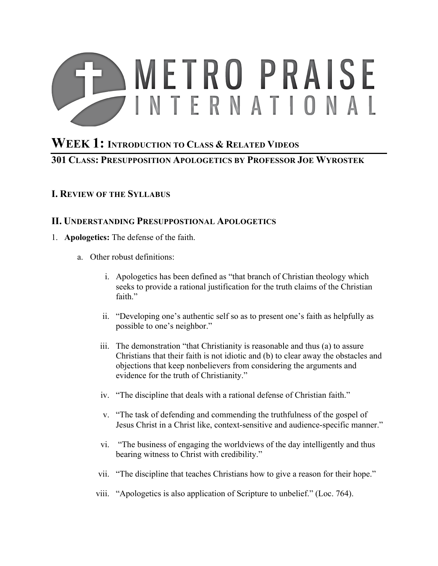# **METRO PRAISE INTERNATIONAL**

## **WEEK 1: INTRODUCTION TO CLASS & RELATED VIDEOS 301 CLASS: PRESUPPOSITION APOLOGETICS BY PROFESSOR JOE WYROSTEK**

### **I. REVIEW OF THE SYLLABUS**

#### **II. UNDERSTANDING PRESUPPOSTIONAL APOLOGETICS**

- 1. **Apologetics:** The defense of the faith.
	- a. Other robust definitions:
		- i. Apologetics has been defined as "that branch of Christian theology which seeks to provide a rational justification for the truth claims of the Christian faith"
		- ii. "Developing one's authentic self so as to present one's faith as helpfully as possible to one's neighbor."
		- iii. The demonstration "that Christianity is reasonable and thus (a) to assure Christians that their faith is not idiotic and (b) to clear away the obstacles and objections that keep nonbelievers from considering the arguments and evidence for the truth of Christianity."
		- iv. "The discipline that deals with a rational defense of Christian faith."
		- v. "The task of defending and commending the truthfulness of the gospel of Jesus Christ in a Christ like, context-sensitive and audience-specific manner."
		- vi. "The business of engaging the worldviews of the day intelligently and thus bearing witness to Christ with credibility."
		- vii. "The discipline that teaches Christians how to give a reason for their hope."
		- viii. "Apologetics is also application of Scripture to unbelief." (Loc. 764).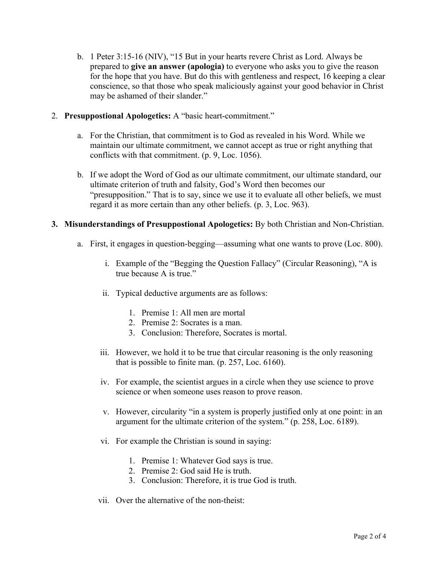- b. 1 Peter 3:15-16 (NIV), "15 But in your hearts revere Christ as Lord. Always be prepared to **give an answer (apologia)** to everyone who asks you to give the reason for the hope that you have. But do this with gentleness and respect, 16 keeping a clear conscience, so that those who speak maliciously against your good behavior in Christ may be ashamed of their slander."
- 2. **Presuppostional Apologetics:** A "basic heart-commitment."
	- a. For the Christian, that commitment is to God as revealed in his Word. While we maintain our ultimate commitment, we cannot accept as true or right anything that conflicts with that commitment. (p. 9, Loc. 1056).
	- b. If we adopt the Word of God as our ultimate commitment, our ultimate standard, our ultimate criterion of truth and falsity, God's Word then becomes our "presupposition." That is to say, since we use it to evaluate all other beliefs, we must regard it as more certain than any other beliefs. (p. 3, Loc. 963).
- **3. Misunderstandings of Presuppostional Apologetics:** By both Christian and Non-Christian.
	- a. First, it engages in question-begging—assuming what one wants to prove (Loc. 800).
		- i. Example of the "Begging the Question Fallacy" (Circular Reasoning), "A is true because A is true."
		- ii. Typical deductive arguments are as follows:
			- 1. Premise 1: All men are mortal
			- 2. Premise 2: Socrates is a man.
			- 3. Conclusion: Therefore, Socrates is mortal.
		- iii. However, we hold it to be true that circular reasoning is the only reasoning that is possible to finite man. (p. 257, Loc. 6160).
		- iv. For example, the scientist argues in a circle when they use science to prove science or when someone uses reason to prove reason.
		- v. However, circularity "in a system is properly justified only at one point: in an argument for the ultimate criterion of the system." (p. 258, Loc. 6189).
		- vi. For example the Christian is sound in saying:
			- 1. Premise 1: Whatever God says is true.
			- 2. Premise 2: God said He is truth.
			- 3. Conclusion: Therefore, it is true God is truth.
		- vii. Over the alternative of the non-theist: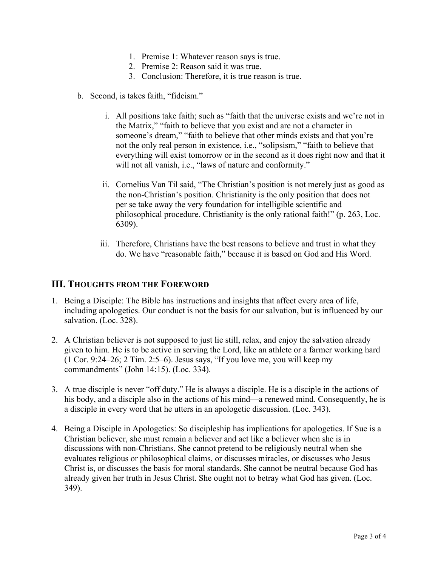- 1. Premise 1: Whatever reason says is true.
- 2. Premise 2: Reason said it was true.
- 3. Conclusion: Therefore, it is true reason is true.
- b. Second, is takes faith, "fideism."
	- i. All positions take faith; such as "faith that the universe exists and we're not in the Matrix," "faith to believe that you exist and are not a character in someone's dream," "faith to believe that other minds exists and that you're not the only real person in existence, i.e., "solipsism," "faith to believe that everything will exist tomorrow or in the second as it does right now and that it will not all vanish, i.e., "laws of nature and conformity."
	- ii. Cornelius Van Til said, "The Christian's position is not merely just as good as the non-Christian's position. Christianity is the only position that does not per se take away the very foundation for intelligible scientific and philosophical procedure. Christianity is the only rational faith!" (p. 263, Loc. 6309).
	- iii. Therefore, Christians have the best reasons to believe and trust in what they do. We have "reasonable faith," because it is based on God and His Word.

#### **III. THOUGHTS FROM THE FOREWORD**

- 1. Being a Disciple: The Bible has instructions and insights that affect every area of life, including apologetics. Our conduct is not the basis for our salvation, but is influenced by our salvation. (Loc. 328).
- 2. A Christian believer is not supposed to just lie still, relax, and enjoy the salvation already given to him. He is to be active in serving the Lord, like an athlete or a farmer working hard (1 Cor. 9:24–26; 2 Tim. 2:5–6). Jesus says, "If you love me, you will keep my commandments" (John 14:15). (Loc. 334).
- 3. A true disciple is never "off duty." He is always a disciple. He is a disciple in the actions of his body, and a disciple also in the actions of his mind—a renewed mind. Consequently, he is a disciple in every word that he utters in an apologetic discussion. (Loc. 343).
- 4. Being a Disciple in Apologetics: So discipleship has implications for apologetics. If Sue is a Christian believer, she must remain a believer and act like a believer when she is in discussions with non-Christians. She cannot pretend to be religiously neutral when she evaluates religious or philosophical claims, or discusses miracles, or discusses who Jesus Christ is, or discusses the basis for moral standards. She cannot be neutral because God has already given her truth in Jesus Christ. She ought not to betray what God has given. (Loc. 349).